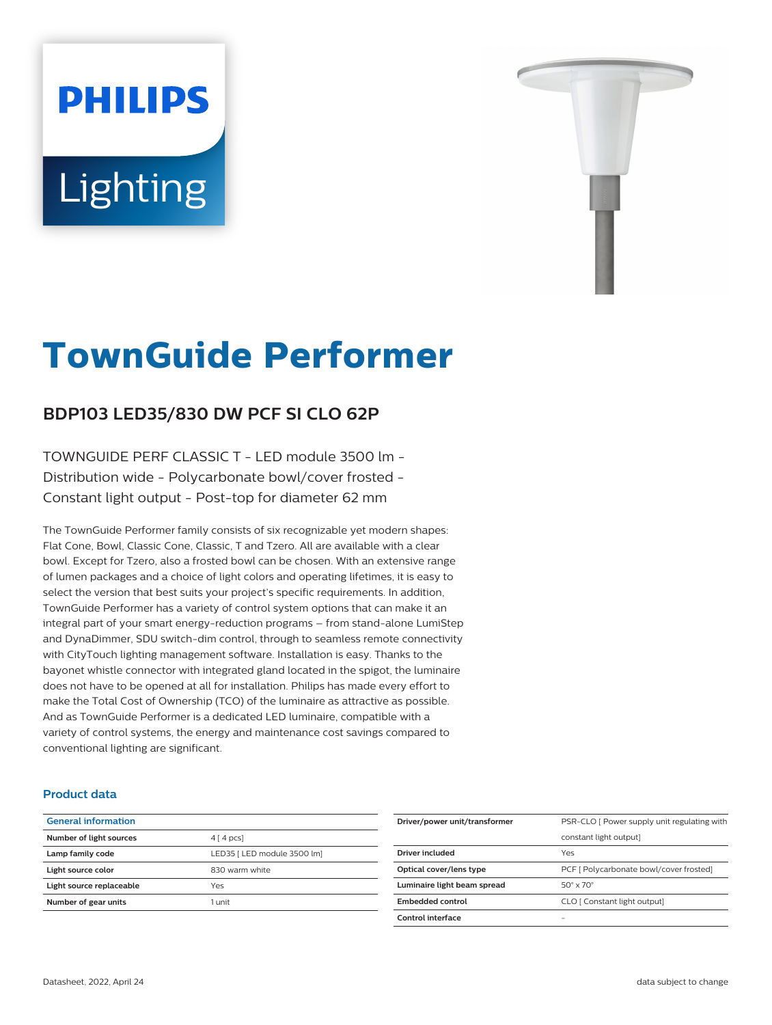# **PHILIPS Lighting**



# **TownGuide Performer**

# **BDP103 LED35/830 DW PCF SI CLO 62P**

TOWNGUIDE PERF CLASSIC T - LED module 3500 lm - Distribution wide - Polycarbonate bowl/cover frosted - Constant light output - Post-top for diameter 62 mm

The TownGuide Performer family consists of six recognizable yet modern shapes: Flat Cone, Bowl, Classic Cone, Classic, T and Tzero. All are available with a clear bowl. Except for Tzero, also a frosted bowl can be chosen. With an extensive range of lumen packages and a choice of light colors and operating lifetimes, it is easy to select the version that best suits your project's specific requirements. In addition, TownGuide Performer has a variety of control system options that can make it an integral part of your smart energy-reduction programs – from stand-alone LumiStep and DynaDimmer, SDU switch-dim control, through to seamless remote connectivity with CityTouch lighting management software. Installation is easy. Thanks to the bayonet whistle connector with integrated gland located in the spigot, the luminaire does not have to be opened at all for installation. Philips has made every effort to make the Total Cost of Ownership (TCO) of the luminaire as attractive as possible. And as TownGuide Performer is a dedicated LED luminaire, compatible with a variety of control systems, the energy and maintenance cost savings compared to conventional lighting are significant.

#### **Product data**

| <b>General information</b> |                             |
|----------------------------|-----------------------------|
| Number of light sources    | $4 \mid 4 \mid pcs$         |
| Lamp family code           | LED35   LED module 3500 lm] |
| Light source color         | 830 warm white              |
| Light source replaceable   | Yes                         |
| Number of gear units       | 1 unit                      |
|                            |                             |

| Driver/power unit/transformer | PSR-CLO [ Power supply unit regulating with |
|-------------------------------|---------------------------------------------|
|                               | constant light output]                      |
| Driver included               | Yes                                         |
| Optical cover/lens type       | PCF [ Polycarbonate bowl/cover frosted]     |
| Luminaire light beam spread   | $50^\circ \times 70^\circ$                  |
| Embedded control              | CLO [ Constant light output]                |
| Control interface             |                                             |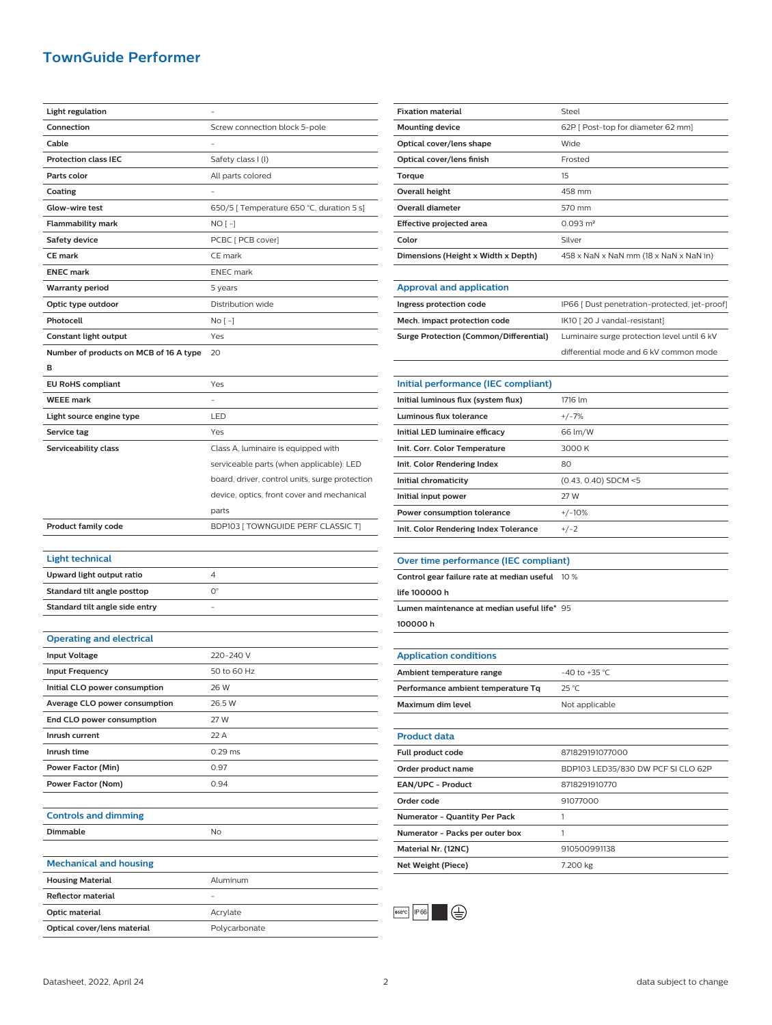## **TownGuide Performer**

| Connection<br>Screw connection block 5-pole<br>Cable            |  |
|-----------------------------------------------------------------|--|
|                                                                 |  |
|                                                                 |  |
| <b>Protection class IEC</b><br>Safety class I (I)               |  |
| Parts color<br>All parts colored                                |  |
| Coating                                                         |  |
| Glow-wire test<br>650/5 [ Temperature 650 °C, duration 5 s]     |  |
| <b>Flammability mark</b><br>NO [ -]                             |  |
| <b>Safety device</b><br>PCBC [ PCB cover]                       |  |
| <b>CE mark</b><br>CE mark                                       |  |
| <b>ENEC mark</b><br><b>ENEC</b> mark                            |  |
| <b>Warranty period</b><br>5 years                               |  |
| Distribution wide                                               |  |
| Optic type outdoor                                              |  |
| Photocell<br>No [ -]                                            |  |
| Constant light output<br>Yes                                    |  |
| Number of products on MCB of 16 A type<br>20                    |  |
| в                                                               |  |
| <b>EU RoHS compliant</b><br>Yes                                 |  |
| <b>WEEE mark</b>                                                |  |
| Light source engine type<br>LED                                 |  |
| Yes<br>Service tag                                              |  |
| Serviceability class<br>Class A, luminaire is equipped with     |  |
| serviceable parts (when applicable): LED                        |  |
| board, driver, control units, surge protection                  |  |
| device, optics, front cover and mechanical                      |  |
|                                                                 |  |
| parts                                                           |  |
| <b>Product family code</b><br>BDP103 [TOWNGUIDE PERF CLASSIC T] |  |
|                                                                 |  |
| <b>Light technical</b>                                          |  |
| Upward light output ratio<br>4                                  |  |
| $O^{\circ}$<br>Standard tilt angle posttop                      |  |
| Standard tilt angle side entry                                  |  |
|                                                                 |  |
| <b>Operating and electrical</b>                                 |  |
| <b>Input Voltage</b><br>220-240 V                               |  |
| <b>Input Frequency</b><br>50 to 60 Hz                           |  |
| Initial CLO power consumption<br>26 W                           |  |
| Average CLO power consumption<br>26.5 W                         |  |
| End CLO power consumption<br>27 W                               |  |
| Inrush current<br>22 A                                          |  |
| Inrush time<br>$0.29$ ms                                        |  |
| Power Factor (Min)<br>0.97                                      |  |
| Power Factor (Nom)<br>0.94                                      |  |
|                                                                 |  |
| <b>Controls and dimming</b>                                     |  |
| Dimmable<br>No                                                  |  |
|                                                                 |  |
| <b>Mechanical and housing</b>                                   |  |
| <b>Housing Material</b><br>Aluminum                             |  |
| Reflector material                                              |  |
| Optic material<br>Acrylate                                      |  |

| <b>Fixation material</b>            | Steel                                  |
|-------------------------------------|----------------------------------------|
| <b>Mounting device</b>              | 62P   Post-top for diameter 62 mm]     |
| Optical cover/lens shape            | Wide                                   |
| Optical cover/lens finish           | Frosted                                |
| Torque                              | 15                                     |
| Overall height                      | 458 mm                                 |
| Overall diameter                    | 570 mm                                 |
| Effective projected area            | $0.093 \text{ m}^2$                    |
| Color                               | Silver                                 |
| Dimensions (Height x Width x Depth) | 458 x NaN x NaN mm (18 x NaN x NaN in) |
|                                     |                                        |
| Approval and application            |                                        |

| Ingress protection code                | IP66   Dust penetration-protected, jet-proof] |
|----------------------------------------|-----------------------------------------------|
| Mech. impact protection code           | IK10 [20 J vandal-resistant]                  |
| Surge Protection (Common/Differential) | Luminaire surge protection level until 6 kV   |
|                                        | differential mode and 6 kV common mode        |

| Initial performance (IEC compliant)   |                        |
|---------------------------------------|------------------------|
| Initial luminous flux (system flux)   | 1716 Im                |
| Luminous flux tolerance               | $+/-7%$                |
| Initial LED luminaire efficacy        | 66 lm/W                |
| Init. Corr. Color Temperature         | 3000 K                 |
| Init. Color Rendering Index           | 80                     |
| Initial chromaticity                  | $(0.43, 0.40)$ SDCM <5 |
| Initial input power                   | 27 W                   |
| Power consumption tolerance           | $+/-10%$               |
| Init. Color Rendering Index Tolerance | $+/-2$                 |

#### **Over time performance (IEC compliant)**

| Control gear failure rate at median useful 10 % |
|-------------------------------------------------|
|                                                 |
| Lumen maintenance at median useful life* 95     |
|                                                 |
|                                                 |
|                                                 |
| $-40$ to $+35$ °C                               |
| 25 °C                                           |
| Not applicable                                  |
|                                                 |
|                                                 |
| 871829191077000                                 |
|                                                 |

| <b>Full product code</b>             | 87829191077000                     |
|--------------------------------------|------------------------------------|
| Order product name                   | BDP103 LED35/830 DW PCF SI CLO 62P |
| EAN/UPC - Product                    | 8718291910770                      |
| Order code                           | 91077000                           |
| <b>Numerator - Quantity Per Pack</b> |                                    |
| Numerator - Packs per outer box      |                                    |
| Material Nr. (12NC)                  | 910500991138                       |
| Net Weight (Piece)                   | 7.200 kg                           |